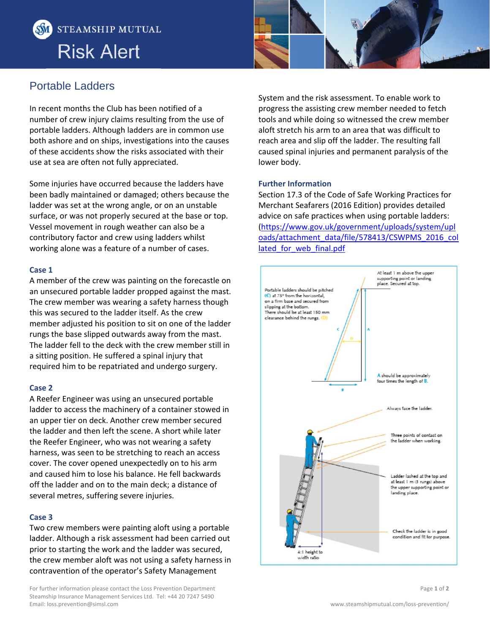



## Portable Ladders

In recent months the Club has been notified of a number of crew injury claims resulting from the use of portable ladders. Although ladders are in common use both ashore and on ships, investigations into the causes of these accidents show the risks associated with their use at sea are often not fully appreciated.

Some injuries have occurred because the ladders have been badly maintained or damaged; others because the ladder was set at the wrong angle, or on an unstable surface, or was not properly secured at the base or top. Vessel movement in rough weather can also be a contributory factor and crew using ladders whilst working alone was a feature of a number of cases.

#### **Case 1**

A member of the crew was painting on the forecastle on an unsecured portable ladder propped against the mast. The crew member was wearing a safety harness though this was secured to the ladder itself. As the crew member adjusted his position to sit on one of the ladder rungs the base slipped outwards away from the mast. The ladder fell to the deck with the crew member still in a sitting position. He suffered a spinal injury that required him to be repatriated and undergo surgery.

#### **Case 2**

A Reefer Engineer was using an unsecured portable ladder to access the machinery of a container stowed in an upper tier on deck. Another crew member secured the ladder and then left the scene. A short while later the Reefer Engineer, who was not wearing a safety harness, was seen to be stretching to reach an access cover. The cover opened unexpectedly on to his arm and caused him to lose his balance. He fell backwards off the ladder and on to the main deck; a distance of several metres, suffering severe injuries.

#### **Case 3**

Two crew members were painting aloft using a portable ladder. Although a risk assessment had been carried out prior to starting the work and the ladder was secured, the crew member aloft was not using a safety harness in contravention of the operator's Safety Management

For further information please contact the Loss Prevention Department Steamship Insurance Management Services Ltd. Tel: +44 20 7247 5490 Email: loss.prevention@simsl.com www.steamshipmutual.com/loss‐prevention/

System and the risk assessment. To enable work to progress the assisting crew member needed to fetch tools and while doing so witnessed the crew member aloft stretch his arm to an area that was difficult to reach area and slip off the ladder. The resulting fall caused spinal injuries and permanent paralysis of the lower body.

#### **Further Information**

Section 17.3 of the Code of Safe Working Practices for Merchant Seafarers (2016 Edition) provides detailed advice on safe practices when using portable ladders: (https://www.gov.uk/government/uploads/system/upl oads/attachment\_data/file/578413/CSWPMS\_2016\_col lated for web final.pdf